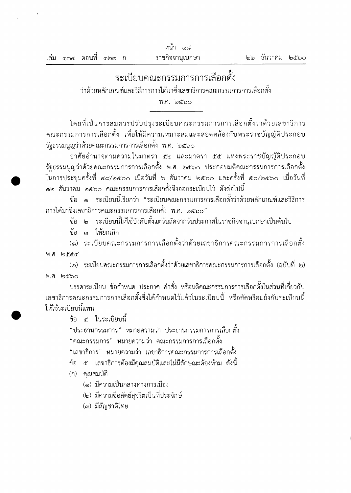|  |                       |  | หนา<br>೧ದ       |                 |  |
|--|-----------------------|--|-----------------|-----------------|--|
|  | เล่ม ๑๓๔ ตอนที่ ๑๒๙ ก |  | ราชกิจจานุเบกษา | ๒๒ ธันวาคม ๒๕๖๐ |  |
|  |                       |  |                 |                 |  |

## ระเบียบคณะกรรมการการเลือกตั้ง

ว่าด้วยหลักเกณฑ์และวิธีการการได้มาซึ่งเลขาธิการคณะกรรมการการเลือกตั้ง

พ.ศ. ๒๕๖๐

โดยที่เป็นการสมควรปรับปรุงระเบียบคณะกรรมการการเลือกตั้งว่าด้วยเลขาธิการ ึคณะกรรมการการเลือกตั้ง เพื่อให้มีความเหมาะสมและสอดคล้องกับพระราชบัญญัติประกอบ รัฐธรรมนูญว่าด้วยคณะกรรมการการเลือกตั้ง พ.ศ. ๒๕๖๐

อาศัยอำนาจตามความในมาตรา ๕๒ และมาตรา ๕๕ แห่งพระราชบัญญัติประกอบ รัฐธรรมนูญว่าด้วยคณะกรรมการการเลือกตั้ง พ.ศ. ๒๕๖๐ ประกอบมติคณะกรรมการการเลือกตั้ง ในการประชุมครั้งที่ ๔๙/๒๕๖๐ เมื่อวันที่ ๖ ธันวาคม ๒๕๖๐ และครั้งที่ ๕๐/๒๕๖๐ เมื่อวันที่ ๑๒ ธันวาคม ๒๕๖๐ คณะกรรมการการเลือกตั้งจึงออกระเบียบไว้ ดังต่อไปนี้

ข้อ ๑ ระเบียบนี้เรียกว่า "ระเบียบคณะกรรมการการเลือกตั้งว่าด้วยหลักเกณฑ์และวิธีการ ้การได้มาซึ่งเลขาธิการคณะกรรมการการเลือกตั้ง พ.ศ. ๒๕๖๐"

ข้อ ๒ ระเบียบนี้ให้ใช้บังคับตั้งแต่วันถัดจากวันประกาศในราชกิจจานุเบกษาเป็นต้นไป

ข้อ ๓ ให้ยกเลิก

(๑) ระเบียบคณะกรรมการการเลือกตั้งว่าด้วยเลขาธิการคณะกรรมการการเลือกตั้ง พ.ศ. ๒๕๕๔

(๒) ระเบียบคณะกรรมการการเลือกตั้งว่าด้วยเลขาธิการคณะกรรมการการเลือกตั้ง (ฉบับที่ ๒) พ.ศ. ๒๕๖๐

้บรรดาระเบียบ ข้อกำหนด ประกาศ คำสั่ง หรือมติคณะกรรมการการเลือกตั้งในส่วนที่เกี่ยวกับ เลขาธิการคณะกรรมการการเลือกตั้งซึ่งได้กำหนดไว้แล้วในระเบียบนี้ หรือขัดหรือแย้งกับระเบียบนี้ ให้ใช้ระเบียบนี้แทน

ข้อ ๔ ในระเบียบนี้

"ประธานกรรมการ" หมายความว่า ประธานกรรมการการเลือกตั้ง

"คณะกรรมการ" หมายความว่า คณะกรรมการการเลือกตั้ง

"เลขาธิการ" หมายความว่า เลขาธิการคณะกรรมการการเลือกตั้ง

์ข้อ ๕ เลขาธิการต้องมีคุณสมบัติและไม่มีลักษณะต้องห้าม ดังนี้

- (ก) คณสมบัติ
	- (๑) มีความเป็นกลางทางการเมือง
	- (๒) มีความชื่อสัตย์สุจริตเป็นที่ประจักษ์
	- (๓) มีสัญชาติไทย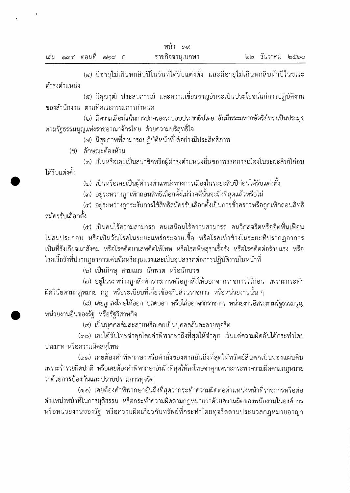(๔) มีอายุไม่เกินหกสิบปีในวันที่ได้รับแต่งตั้ง และมีอายุไม่เกินหกสิบห้าปีในขณะ ดำรงตำแหน่ง

(๕) มีคุณวุฒิ ประสบการณ์ และความเชี่ยวชาญอันจะเป็นประโยชน์แก่การปฏิบัติงาน ของสำนักงาน ตามที่คณะกรรมการกำหนด

(๖) มีความเลื่อมใสในการปกครองระบอบประชาธิปไตย อันมีพระมหากษัตริย์ทรงเป็นประมุข ตามรัฐธรรมนูญแห่งราชอาณาจักรไทย ด้วยความบริสุทธิ์ใจ

(๗) มีสุขภาพที่สามารถปฏิบัติหน้าที่ได้อย่างมีประสิทธิภาพ

(ข) ลักษณะต้องห้าม

(๑) เป็นหรือเคยเป็นสมาชิกหรือผู้ดำรงตำแหน่งอื่นของพรรคการเมืองในระยะสิบปีก่อน ได้รับแต่งตั้ง

(๒) เป็นหรือเคยเป็นผู้ดำรงตำแหน่งทางการเมืองในระยะสิบปีก่อนได้รับแต่งตั้ง

(๓) อยู่ระหว่างถูกเพิกถอนสิทธิเลือกตั้งไม่ว่าคดีนั้นจะถึงที่สุดแล้วหรือไม่

(๔) อยู่ระหว่างถูกระงับการใช้สิทธิสมัครรับเลือกตั้งเป็นการชั่วคราวหรือถูกเพิกถอนสิทธิ สมัครรับเลือกตั้ง

(๕) เป็นคนไร้ความสามารถ คนเสมือนไร้ความสามารถ คนวิกลจริตหรือจิตฟั่นเฟือน ไม่สมประกอบ หรือเป็นวัณโรคในระยะแพร่กระจายเชื้อ หรือโรคเท้าช้างในระยะที่ปรากฏอาการ ้เป็นที่รังเกียจแก่สังคม หรือโรคติดยาเสพติดให้โทษ หรือโรคพิษสุราเรื้อรัง หรือโรคติดต่อร้ายแรง หรือ โรคเรื้อรังที่ปรากฏอาการเด่นชัดหรือรุนแรงและเป็นอุปสรรคต่อการปฏิบัติงานในหน้าที่

(๖) เป็นภิกษุ สามเณร นักพรต หรือนักบวช

(๗) อยู่ในระหว่างถูกสั่งพักราชการหรือถูกสั่งให้ออกจากราชการไว้ก่อน เพราะกระทำ ่ ผิดวินัยตามกฎหมาย กฎ หรือระเบียบที่เกี่ยวข้องกับส่วนราชการ หรือหน่วยงานนั้น ๆ

(๘) เคยถูกลงโทษให้ออก ปลดออก หรือไล่ออกจากราชการ หน่วยงานอิสระตามรัฐธรรมนูญ หน่วยงานอื่นของรัฐ หรือรัฐวิสาหกิจ

(๙) เป็นบุคคลล้มละลายหรือเคยเป็นบุคคลล้มละลายทุจริต

(๑๐) เคยได้รับโทษจำคุกโดยคำพิพากษาถึงที่สุดให้จำคุก เว้นแต่ความผิดอันได้กระทำโดย ประมาท หรือความผิดลหุโทษ

(๑๑) เคยต้องคำพิพากษาหรือคำสั่งของศาลอันถึงที่สุดให้ทรัพย์สินตกเป็นของแผ่นดิน ้ เพราะร่ำรวยผิดปกติ หรือเคยต้องคำพิพากษาอันถึงที่สุดให้ลงโทษจำคุกเพราะกระทำความผิดตามกฎหมาย ว่าด้วยการป้องกันและปราบปรามการทุจริต

(๑๒) เคยต้องคำพิพากษาอันถึงที่สุดว่ากระทำความผิดต่อตำแหน่งหน้าที่ราชการหรือต่อ ้ตำแหน่งหน้าที่ในการยุติธรรม หรือกระทำความผิดตามกฎหมายว่าด้วยความผิดของพนักงานในองค์การ หรือหน่วยงานของรัฐ หรือความผิดเกี่ยวกับทรัพย์ที่กระทำโดยทุจริตตามประมวลกฎหมายอาญา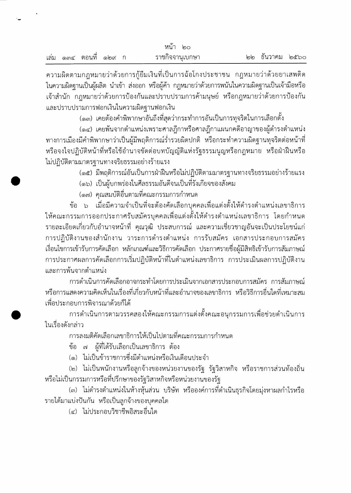| หนา<br>ിറെ |  |                |        |  |                 |                 |  |
|------------|--|----------------|--------|--|-----------------|-----------------|--|
|            |  | เล่ม ๑๓๔ ตอนที | මෙගේ 1 |  | ราชกิจจานุเบกษา | ๒๒ ธันวาคม ๒๕๖๐ |  |

้ความผิดตามกฎหมายว่าด้วยการกู้ยืมเงินที่เป็นการฉ้อโกงประชาชน กฎหมายว่าด้วยยาเสพติด ในความผิดฐานเป็นผู้ผลิต นำเข้า ส่งออก หรือผู้ค้า กฎหมายว่าด้วยการพนันในความผิดฐานเป็นเจ้ามือหรือ เจ้าสำนัก กฎหมายว่าด้วยการป้องกันและปราบปรามการค้ามนุษย์ หรือกฎหมายว่าด้วยการป้องกัน และปราบปรามการฟอกเงินในความผิดฐานฟอกเงิน

(๑๓) เคยต้องคำพิพากษาอันถึงที่สุดว่ากระทำการอันเป็นการทุจริตในการเลือกตั้ง

(๑๔) เคยพ้นจากตำแหน่งเพราะศาลฎีกาหรือศาลฎีกาแผนกคดีอาญาของผู้ดำรงตำแหน่ง ี ทางการเมืองมีคำพิพากษาว่าเป็นผู้มีพฤติการณ์ร่ำรวยผิดปกติ หรือกระทำความผิดฐานทุจริตต่อหน้าที่ หรือจงใจปฏิบัติหน้าที่หรือใช้อำนาจขัดต่อบทบัญญัติแห่งรัฐธรรมนูญหรือกฎหมาย หรือฝ่าฝืนหรือ ไม่ปฏิบัติตามมาตรฐานทางจริยธรรมอย่างร้ายแรง

(๑๕) มีพฤติการณ์อันเป็นการฝ่าฝืนหรือไม่ปฏิบัติตามมาตรฐานทางจริยธรรมอย่างร้ายแรง

(๑๖) เป็นผู้บกพร่องในศีลธรรมอันดีจนเป็นที่รังเกียจของสังคม

(๑๗) คุณสมบัติอื่นตามที่คณะกรรมการกำหนด

์ ข้อ ๖ เมื่อมีความจำเป็นที่จะต้องคัดเลือกบุคคลเพื่อแต่งตั้งให้ดำรงตำแหน่งเลขาธิการ ให้คณะกรรมการออกประกาศรับสมัครบุคคลเพื่อแต่งตั้งให้ดำรงตำแหน่งเลขาธิการ โดยกำหนด ้รายละเอียดเกี่ยวกับอำนาจหน้าที่ คุณวุฒิ ประสบการณ์ และความเชี่ยวชาญอันจะเป็นประโยชน์แก่ การปฏิบัติงานของสำนักงาน วาระการดำรงตำแหน่ง การรับสมัคร เอกสารประกอบการสมัคร เงื่อนไขการเข้ารับการคัดเลือก หลักเกณฑ์และวิธีการคัดเลือก ประกาศรายชื่อผู้มีสิทธิเข้ารับการสัมภาษณ์ ิการประกาศผลการคัดเลือกการเริ่มปฏิบัติหน้าที่ในตำแหน่งเลขาธิการ การประเมินผลการปฏิบัติงาน และการพ้นจากตำแหน่ง

การดำเนินการคัดเลือกอาจกระทำโดยการประเมินจากเอกสารประกอบการสมัคร การสัมภาษณ์ หรือการแสดงความคิดเห็นในเรื่องที่เกี่ยวกับหน้าที่และอำนาจของเลขาธิการ หรือวิธีการอื่นใดที่เหมาะสม เพื่อประกอบการพิจารณาด้วยก็ได้

ิการดำเนินการตามวรรคสองให้คณะกรรมการแต่งตั้งคณะอนุกรรมการเพื่อช่วยดำเนินการ ในเรื่องดังกล่าว

การลงมติคัดเลือกเลขาธิการให้เป็นไปตามที่คณะกรรมการกำหนด

ข้อ ๗ ผู้ที่ได้รับเลือกเป็นเลขาธิการ ต้อง

(๑) ไม่เป็นข้าราชการซึ่งมีตำแหน่งหรือเงินเดือนประจำ

(๒) ไม่เป็นพนักงานหรือลูกจ้างของหน่วยงานของรัฐ รัฐวิสาหกิจ หรือราชการส่วนท้องถิ่น หรือไม่เป็นกรรมการหรือที่ปรึกษาของรัฐวิสาหกิจหรือหน่วยงานของรัฐ

(๓) ไม่ดำรงตำแหน่งในห้างหุ้นส่วน บริษัท หรือองค์การที่ดำเนินธุรกิจโดยมุ่งหาผลกำไรหรือ รายได้มาแบ่งปันกัน หรือเป็นลูกจ้างของบุคคลใด

(๔) ไม่ประกอบวิชาชีพอิสระอื่นใด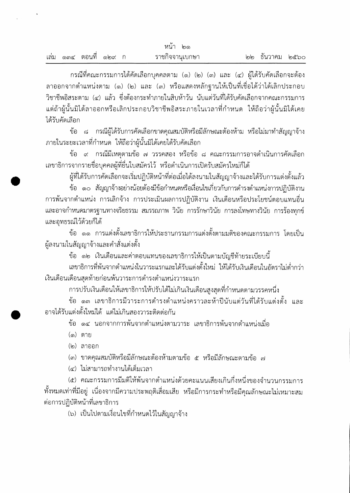| หนา<br>ပြာ |  |                       |  |  |                 |  |                 |  |
|------------|--|-----------------------|--|--|-----------------|--|-----------------|--|
| เลม        |  | ଭଳଙ୍କ ଉପଧାମି ଭାବଙ୍କ ମ |  |  | ราชกิจจานุเบกษา |  | ๒๒ ธันวาคม ๒๕๖๐ |  |

กรณีที่คณะกรรมการได้คัดเลือกบุคคลตาม (๑) (๒) (๓) และ (๔) ผู้ได้รับคัดเลือกจะต้อง ลาออกจากตำแหน่งตาม (๑) (๒) และ (๓) หรือแสดงหลักฐานให้เป็นที่เชื่อได้ว่าได้เลิกประกอบ วิชาชีพอิสระตาม (๔) แล้ว ซึ่งต้องกระทำภายในสิบห้าวัน นับแต่วันที่ได้รับคัดเลือกจากคณะกรรมการ แต่ถ้าผู้นั้นมิได้ลาออกหรือเลิกประกอบวิชาชีพอิสระภายในเวลาที่กำหนด ให้ถือว่าผู้นั้นมิได้เคย ได้รับคัดเลือก

ข้อ ๘ กรณีผู้ได้รับการคัดเลือกขาดคุณสมบัติหรือมีลักษณะต้องห้าม หรือไม่มาทำสัญญาจ้าง ภายในระยะเวลาที่กำหนด ให้ถือว่าผู้นั้นมิได้เคยได้รับคัดเลือก

ข้อ ๙ กรณีมีเหตุตามข้อ ๗ วรรคสอง หรือข้อ ๘ คณะกรรมการอาจดำเนินการคัดเลือก เลขาธิการจากรายชื่อบุคคลผู้ที่ยื่นใบสมัครไว้ หรือดำเนินการเปิดรับสมัครใหม่ก็ได้

้ผู้ที่ได้รับการคัดเลือกจะเริ่มปฏิบัติหน้าที่ต่อเมื่อได้ลงนามในสัญญาจ้างและได้รับการแต่งตั้งแล้ว

ี ข้อ ๑๐ สัญญาจ้างอย่างน้อยต้องมีข้อกำหนดหรือเงื่อนไขเกี่ยวกับการดำรงตำแหน่งการปฏิบัติงาน การพ้นจากตำแหน่ง การเลิกจ้าง การประเมินผลการปฏิบัติงาน เงินเดือนหรือประโยชน์ตอบแทนอื่น และอาจกำหนดมาตรฐานทางจริยธรรม สมรรถภาพ วินัย การรักษาวินัย การลงโทษทางวินัย การร้องทุกข์ และอุทธรณ์ไว้ด้วยก็ได้

้ข้อ ๑๑ การแต่งตั้งเลขาธิการให้ประธานกรรมการแต่งตั้งตามมติของคณะกรรมการ โดยเป็น ผู้ลงนามในสัญญาจ้างและคำสั่งแต่งตั้ง

ข้อ ๑๒ เงินเดือนและค่าตอบแทนของเลขาธิการให้เป็นตามบัญชีท้ายระเบียบนี้

เลขาธิการที่พ้นจากตำแหน่งในวาระแรกและได้รับแต่งตั้งใหม่ ให้ได้รับเงินเดือนในอัตราไม่ต่ำกว่า เงินเดือนเดือนสุดท้ายก่อนพ้นวาระการดำรงตำแหน่งวาระแรก

การปรับเงินเดือนให้เลขาธิการให้ปรับได้ไม่เกินเงินเดือนสูงสุดที่กำหนดตามวรรคหนึ่ง

ข้อ ๑๓ เลขาธิการมีวาระการดำรงตำแหน่งคราวละห้าปีนับแต่วันที่ได้รับแต่งตั้ง และ ้อาจได้รับแต่งตั้งใหม่ได้ แต่ไม่เกินสองวาระติดต่อกัน

ข้อ ๑๔ นอกจากการพ้นจากตำแหน่งตามวาระ เลขาธิการพ้นจากตำแหน่งเมื่อ

(๑) ตาย

(๒) ลาออก

(๓) ขาดคุณสมบัติหรือมีลักษณะต้องห้ามตามข้อ ๕ หรือมีลักษณะตามข้อ ๗

(๔) ไม่สามารถทำงานได้เต็มเวลา

(๕) คณะกรรมการมีมติให้พ้นจากตำแหน่งด้วยคะแนนเสียงเกินกึ่งหนึ่งของจำนวนกรรมการ ทั้งหมดเท่าที่มีอยู่ เนื่องจากมีความประพฤติเสื่อมเสีย หรือมีการกระทำหรือมีคุณลักษณะไม่เหมาะสม ต่อการปฏิบัติหน้าที่เลขาธิการ

(๖) เป็นไปตามเงื่อนไขที่กำหนดไว้ในสัญญาจ้าง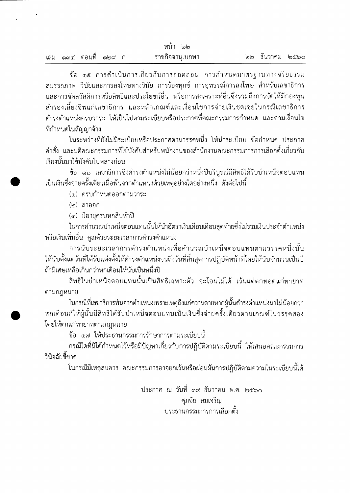| หนา<br>ါ၈ါ၈ |  |           |        |  |                 |                 |  |
|-------------|--|-----------|--------|--|-----------------|-----------------|--|
| เล่ม        |  | ๑๓๔ ตอนที | මෙගේ 1 |  | ราชกิจจานุเบกษา | ๒๒ ธันวาคม ๒๕๖๐ |  |

ข้อ ๑๕ การดำเนินการเกี่ยวกับการถอดถอน การกำหนดมาตรฐานทางจริยธรรม สมรรถภาพ วินัยและการลงโทษทางวินัย การร้องทุกข์ การอุทธรณ์การลงโทษ สำหรับเลขาธิการ และการจัดสวัสดิการหรือสิทธิและประโยชน์อื่น หรือการสงเคราะห์อื่นซึ่งรวมถึงการจัดให้มีกองทุน ้สำรองเลี้ยงชีพแก่เลขาธิการ และหลักเกณฑ์และเงื่อนไขการจ่ายเงินชดเชยในกรณีเลขาธิการ ดำรงตำแหน่งครบวาระ ให้เป็นไปตามระเบียบหรือประกาศที่คณะกรรมการกำหนด และตามเงื่อนไข ที่กำหนดในสัญญาจ้าง

ในระหว่างที่ยังไม่มีระเบียบหรือประกาศตามวรรคหนึ่ง ให้นำระเบียบ ข้อกำหนด ประกาศ ้คำสั่ง และมติคณะกรรมการที่ใช้บังคับสำหรับพนักงานของสำนักงานคณะกรรมการการเลือกตั้งเกี่ยวกับ เรื่องนั้นมาใช้บังคับไปพลางก่อน

ข้อ ๑๖ เลขาธิการซึ่งดำรงตำแหน่งไม่น้อยกว่าหนึ่งปีบริบูรณ์มีสิทธิได้รับบำเหน็จตอบแทน เป็นเงินซึ่งจ่ายครั้งเดียวเมื่อพ้นจากตำแหน่งด้วยเหตุอย่างใดอย่างหนึ่ง ดังต่อไปนี้

(๑) ครบกำหนดออกตามวาระ

(๒) ลาออก

(๓) มีอายุครบหกสิบห้าปี

ในการคำนวณบำเหน็จตอบแทนนั้นให้นำอัตราเงินเดือนเดือนสุดท้ายซึ่งไม่รวมเงินประจำตำแหน่ง หรือเงินเพิ่มอื่น คูณด้วยระยะเวลาการดำรงตำแหน่ง

การนับระยะเวลาการดำรงตำแหน่งเพื่อคำนวณบำเหน็จตอบแทนตามวรรคหนึ่งนั้น ให้นับตั้งแต่วันที่ได้รับแต่งตั้งให้ดำรงตำแหน่งจนถึงวันที่สิ้นสุดการปฏิบัติหน้าที่โดยให้นับจำนวนเป็นปี ถ้ามีเศษเหลือเกินกว่าหกเดือนให้นับเป็นหนึ่งปี

สิทธิในบำเหน็จตอบแทนนั้นเป็นสิทธิเฉพาะตัว จะโอนไม่ได้ เว้นแต่ตกทอดแก่ทายาท ตามกฎหมาย

ในกรณีที่เลขาธิการพ้นจากตำแหน่งเพราะเหตุถึงแก่ความตายหากผู้นั้นดำรงตำแหน่งมาไม่น้อยกว่า หกเดือนก็ให้ผู้นั้นมีสิทธิได้รับบำเหน็จตอบแทนเป็นเงินชึ่งจ่ายครั้งเดียวตามเกณฑ์ในวรรคสอง โดยให้ตกแก่ทายาทตามกฎหมาย

ข้อ ๑๗ ให้ประธานกรรมการรักษาการตามระเบียบนี้

กรณีใดที่มิได้กำหนดไว้หรือมีปัญหาเกี่ยวกับการปฏิบัติตามระเบียบนี้ ให้เสนอคณะกรรมการ วินิจฉัยชี้ขาด

ในกรณีมีเหตุสมควร คณะกรรมการอาจยกเว้นหรือผ่อนผันการปฏิบัติตามความในระเบียบนี้ได้

ประกาศ ณ วันที่ ๑๙ ธันวาคม พ.ศ. ๒๕๖๐ ศภชัย สมเจริญ ประธานกรรมการการเลือกตั้ง